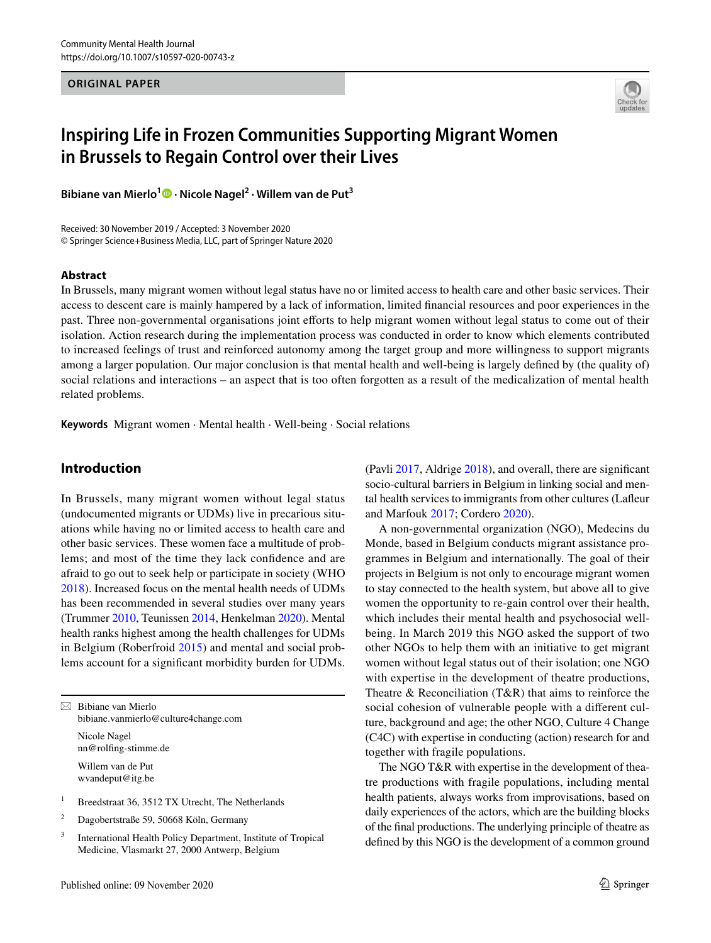#### **ORIGINAL PAPER**



# **Inspiring Life in Frozen Communities Supporting Migrant Women in Brussels to Regain Control over their Lives**

**Bibiane van Mierlo1 · Nicole Nagel2 · Willem van de Put<sup>3</sup>**

Received: 30 November 2019 / Accepted: 3 November 2020 © Springer Science+Business Media, LLC, part of Springer Nature 2020

#### **Abstract**

In Brussels, many migrant women without legal status have no or limited access to health care and other basic services. Their access to descent care is mainly hampered by a lack of information, limited fnancial resources and poor experiences in the past. Three non-governmental organisations joint eforts to help migrant women without legal status to come out of their isolation. Action research during the implementation process was conducted in order to know which elements contributed to increased feelings of trust and reinforced autonomy among the target group and more willingness to support migrants among a larger population. Our major conclusion is that mental health and well-being is largely defned by (the quality of) social relations and interactions – an aspect that is too often forgotten as a result of the medicalization of mental health related problems.

**Keywords** Migrant women · Mental health · Well-being · Social relations

## **Introduction**

In Brussels, many migrant women without legal status (undocumented migrants or UDMs) live in precarious situations while having no or limited access to health care and other basic services. These women face a multitude of problems; and most of the time they lack confdence and are afraid to go out to seek help or participate in society (WHO [2018](#page-7-0)). Increased focus on the mental health needs of UDMs has been recommended in several studies over many years (Trummer [2010,](#page-7-1) Teunissen [2014](#page-7-2), Henkelman [2020\)](#page-6-0). Mental health ranks highest among the health challenges for UDMs in Belgium (Roberfroid [2015\)](#page-7-3) and mental and social problems account for a signifcant morbidity burden for UDMs.

 $\boxtimes$  Bibiane van Mierlo bibiane.vanmierlo@culture4change.com

Nicole Nagel nn@rolfng-stimme.de Willem van de Put wvandeput@itg.be

- <sup>1</sup> Breedstraat 36, 3512 TX Utrecht, The Netherlands
- <sup>2</sup> Dagobertstraße 59, 50668 Köln, Germany
- <sup>3</sup> International Health Policy Department, Institute of Tropical Medicine, Vlasmarkt 27, 2000 Antwerp, Belgium

(Pavli [2017,](#page-7-4) Aldrige [2018](#page-6-1)), and overall, there are signifcant socio-cultural barriers in Belgium in linking social and mental health services to immigrants from other cultures (Lafeur and Marfouk [2017;](#page-6-2) Cordero [2020\)](#page-6-3).

A non-governmental organization (NGO), Medecins du Monde, based in Belgium conducts migrant assistance programmes in Belgium and internationally. The goal of their projects in Belgium is not only to encourage migrant women to stay connected to the health system, but above all to give women the opportunity to re-gain control over their health, which includes their mental health and psychosocial wellbeing. In March 2019 this NGO asked the support of two other NGOs to help them with an initiative to get migrant women without legal status out of their isolation; one NGO with expertise in the development of theatre productions, Theatre & Reconciliation (T&R) that aims to reinforce the social cohesion of vulnerable people with a diferent culture, background and age; the other NGO, Culture 4 Change (C4C) with expertise in conducting (action) research for and together with fragile populations.

The NGO T&R with expertise in the development of theatre productions with fragile populations, including mental health patients, always works from improvisations, based on daily experiences of the actors, which are the building blocks of the fnal productions. The underlying principle of theatre as defned by this NGO is the development of a common ground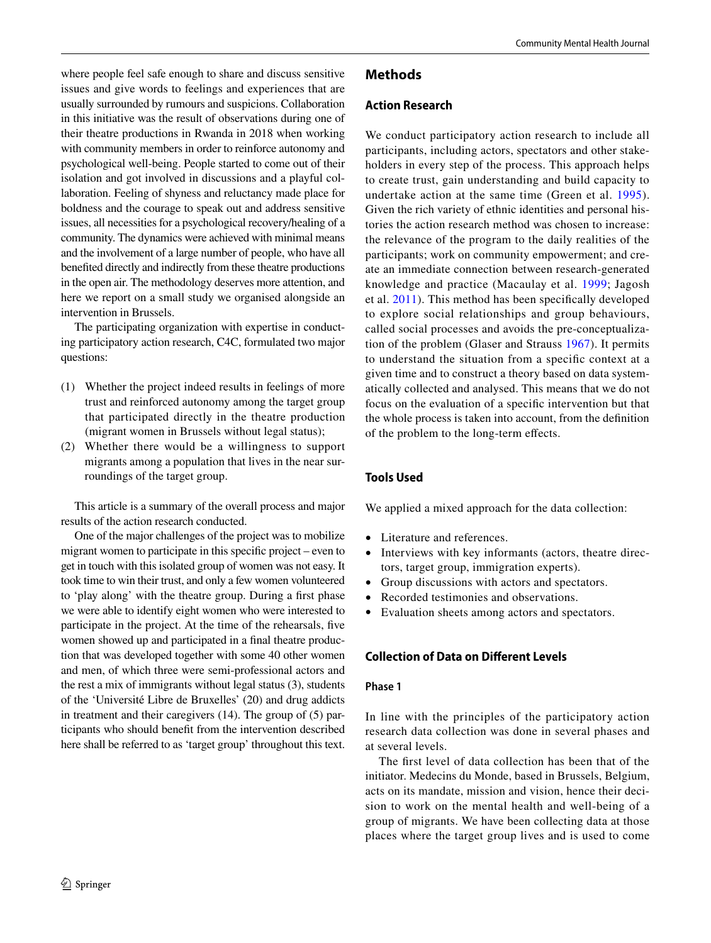where people feel safe enough to share and discuss sensitive issues and give words to feelings and experiences that are usually surrounded by rumours and suspicions. Collaboration in this initiative was the result of observations during one of their theatre productions in Rwanda in 2018 when working with community members in order to reinforce autonomy and psychological well-being. People started to come out of their isolation and got involved in discussions and a playful collaboration. Feeling of shyness and reluctancy made place for boldness and the courage to speak out and address sensitive issues, all necessities for a psychological recovery/healing of a community. The dynamics were achieved with minimal means and the involvement of a large number of people, who have all benefted directly and indirectly from these theatre productions in the open air. The methodology deserves more attention, and here we report on a small study we organised alongside an intervention in Brussels.

The participating organization with expertise in conducting participatory action research, C4C, formulated two major questions:

- (1) Whether the project indeed results in feelings of more trust and reinforced autonomy among the target group that participated directly in the theatre production (migrant women in Brussels without legal status);
- (2) Whether there would be a willingness to support migrants among a population that lives in the near surroundings of the target group.

This article is a summary of the overall process and major results of the action research conducted.

One of the major challenges of the project was to mobilize migrant women to participate in this specifc project – even to get in touch with this isolated group of women was not easy. It took time to win their trust, and only a few women volunteered to 'play along' with the theatre group. During a frst phase we were able to identify eight women who were interested to participate in the project. At the time of the rehearsals, fve women showed up and participated in a final theatre production that was developed together with some 40 other women and men, of which three were semi-professional actors and the rest a mix of immigrants without legal status (3), students of the 'Université Libre de Bruxelles' (20) and drug addicts in treatment and their caregivers (14). The group of (5) participants who should beneft from the intervention described here shall be referred to as 'target group' throughout this text.

## **Methods**

## **Action Research**

We conduct participatory action research to include all participants, including actors, spectators and other stakeholders in every step of the process. This approach helps to create trust, gain understanding and build capacity to undertake action at the same time (Green et al. [1995](#page-6-4)). Given the rich variety of ethnic identities and personal histories the action research method was chosen to increase: the relevance of the program to the daily realities of the participants; work on community empowerment; and create an immediate connection between research-generated knowledge and practice (Macaulay et al. [1999;](#page-7-5) Jagosh et al. [2011\)](#page-6-5). This method has been specifcally developed to explore social relationships and group behaviours, called social processes and avoids the pre-conceptualization of the problem (Glaser and Strauss [1967\)](#page-6-6). It permits to understand the situation from a specifc context at a given time and to construct a theory based on data systematically collected and analysed. This means that we do not focus on the evaluation of a specifc intervention but that the whole process is taken into account, from the defnition of the problem to the long-term efects.

# **Tools Used**

We applied a mixed approach for the data collection:

- Literature and references.
- Interviews with key informants (actors, theatre directors, target group, immigration experts).
- Group discussions with actors and spectators.
- Recorded testimonies and observations.
- Evaluation sheets among actors and spectators.

# **Collection of Data on Diferent Levels**

#### **Phase 1**

In line with the principles of the participatory action research data collection was done in several phases and at several levels.

The frst level of data collection has been that of the initiator. Medecins du Monde, based in Brussels, Belgium, acts on its mandate, mission and vision, hence their decision to work on the mental health and well-being of a group of migrants. We have been collecting data at those places where the target group lives and is used to come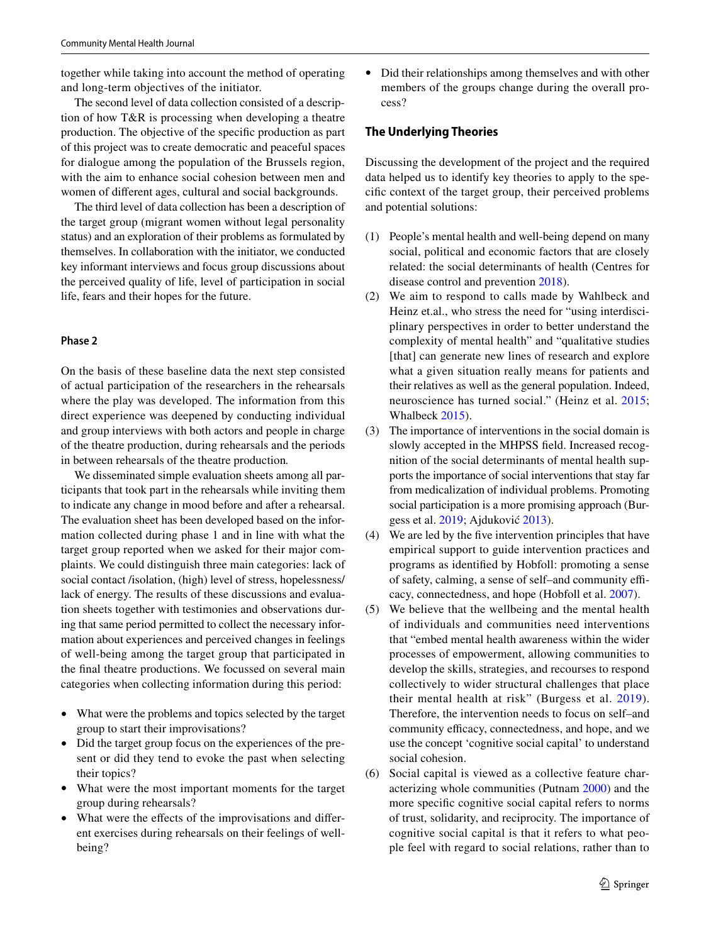together while taking into account the method of operating and long-term objectives of the initiator.

The second level of data collection consisted of a description of how T&R is processing when developing a theatre production. The objective of the specifc production as part of this project was to create democratic and peaceful spaces for dialogue among the population of the Brussels region, with the aim to enhance social cohesion between men and women of diferent ages, cultural and social backgrounds.

The third level of data collection has been a description of the target group (migrant women without legal personality status) and an exploration of their problems as formulated by themselves. In collaboration with the initiator, we conducted key informant interviews and focus group discussions about the perceived quality of life, level of participation in social life, fears and their hopes for the future.

#### **Phase 2**

On the basis of these baseline data the next step consisted of actual participation of the researchers in the rehearsals where the play was developed. The information from this direct experience was deepened by conducting individual and group interviews with both actors and people in charge of the theatre production, during rehearsals and the periods in between rehearsals of the theatre production*.*

We disseminated simple evaluation sheets among all participants that took part in the rehearsals while inviting them to indicate any change in mood before and after a rehearsal. The evaluation sheet has been developed based on the information collected during phase 1 and in line with what the target group reported when we asked for their major complaints. We could distinguish three main categories: lack of social contact /isolation, (high) level of stress, hopelessness/ lack of energy. The results of these discussions and evaluation sheets together with testimonies and observations during that same period permitted to collect the necessary information about experiences and perceived changes in feelings of well-being among the target group that participated in the fnal theatre productions. We focussed on several main categories when collecting information during this period:

- What were the problems and topics selected by the target group to start their improvisations?
- Did the target group focus on the experiences of the present or did they tend to evoke the past when selecting their topics?
- What were the most important moments for the target group during rehearsals?
- What were the effects of the improvisations and different exercises during rehearsals on their feelings of wellbeing?

• Did their relationships among themselves and with other members of the groups change during the overall process?

### **The Underlying Theories**

Discussing the development of the project and the required data helped us to identify key theories to apply to the specifc context of the target group, their perceived problems and potential solutions:

- (1) People's mental health and well-being depend on many social, political and economic factors that are closely related: the social determinants of health (Centres for disease control and prevention [2018\)](#page-6-7).
- (2) We aim to respond to calls made by Wahlbeck and Heinz et.al., who stress the need for "using interdisciplinary perspectives in order to better understand the complexity of mental health" and "qualitative studies [that] can generate new lines of research and explore what a given situation really means for patients and their relatives as well as the general population. Indeed, neuroscience has turned social." (Heinz et al. [2015](#page-6-8); Whalbeck [2015\)](#page-7-6).
- (3) The importance of interventions in the social domain is slowly accepted in the MHPSS feld. Increased recognition of the social determinants of mental health supports the importance of social interventions that stay far from medicalization of individual problems. Promoting social participation is a more promising approach (Burgess et al. [2019](#page-6-9); Ajduković [2013](#page-6-10)).
- (4) We are led by the fve intervention principles that have empirical support to guide intervention practices and programs as identifed by Hobfoll: promoting a sense of safety, calming, a sense of self–and community efficacy, connectedness, and hope (Hobfoll et al. [2007\)](#page-6-11).
- (5) We believe that the wellbeing and the mental health of individuals and communities need interventions that "embed mental health awareness within the wider processes of empowerment, allowing communities to develop the skills, strategies, and recourses to respond collectively to wider structural challenges that place their mental health at risk" (Burgess et al. [2019](#page-6-9)). Therefore, the intervention needs to focus on self–and community efficacy, connectedness, and hope, and we use the concept 'cognitive social capital' to understand social cohesion.
- (6) Social capital is viewed as a collective feature characterizing whole communities (Putnam [2000](#page-7-7)) and the more specifc cognitive social capital refers to norms of trust, solidarity, and reciprocity. The importance of cognitive social capital is that it refers to what people feel with regard to social relations, rather than to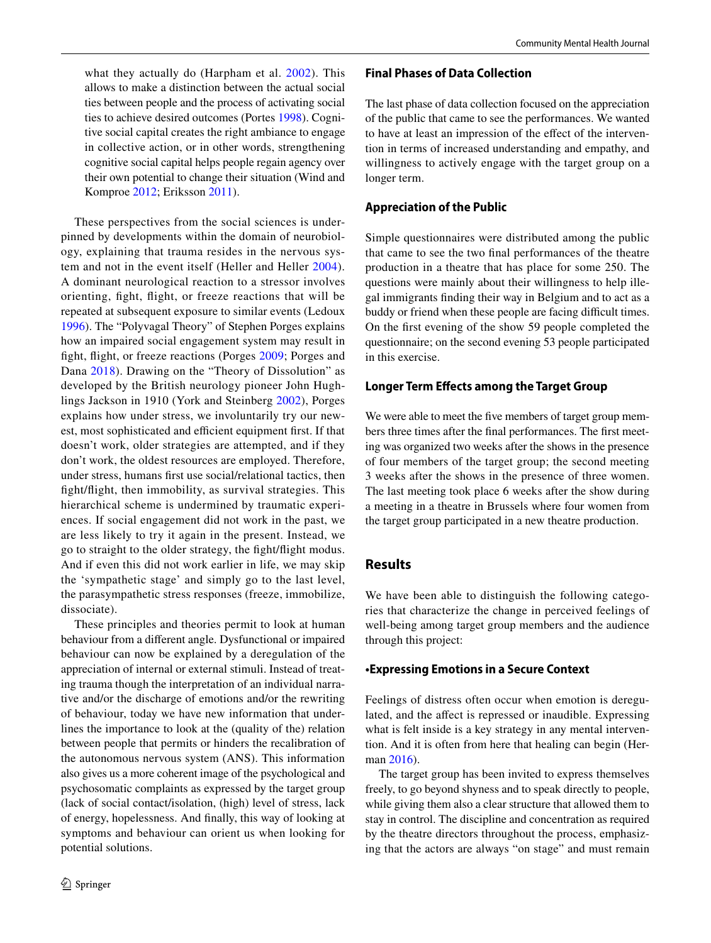what they actually do (Harpham et al. [2002\)](#page-6-12). This allows to make a distinction between the actual social ties between people and the process of activating social ties to achieve desired outcomes (Portes [1998](#page-7-8)). Cognitive social capital creates the right ambiance to engage in collective action, or in other words, strengthening cognitive social capital helps people regain agency over their own potential to change their situation (Wind and Komproe [2012;](#page-7-9) Eriksson [2011](#page-6-13)).

These perspectives from the social sciences is underpinned by developments within the domain of neurobiology, explaining that trauma resides in the nervous system and not in the event itself (Heller and Heller [2004\)](#page-6-14). A dominant neurological reaction to a stressor involves orienting, fght, fight, or freeze reactions that will be repeated at subsequent exposure to similar events (Ledoux [1996](#page-7-10)). The "Polyvagal Theory" of Stephen Porges explains how an impaired social engagement system may result in fght, fight, or freeze reactions (Porges [2009](#page-7-11); Porges and Dana [2018\)](#page-7-12). Drawing on the "Theory of Dissolution" as developed by the British neurology pioneer John Hughlings Jackson in 1910 (York and Steinberg [2002](#page-7-13)), Porges explains how under stress, we involuntarily try our newest, most sophisticated and efficient equipment first. If that doesn't work, older strategies are attempted, and if they don't work, the oldest resources are employed. Therefore, under stress, humans frst use social/relational tactics, then fght/fight, then immobility, as survival strategies. This hierarchical scheme is undermined by traumatic experiences. If social engagement did not work in the past, we are less likely to try it again in the present. Instead, we go to straight to the older strategy, the fght/fight modus. And if even this did not work earlier in life, we may skip the 'sympathetic stage' and simply go to the last level, the parasympathetic stress responses (freeze, immobilize, dissociate).

These principles and theories permit to look at human behaviour from a diferent angle. Dysfunctional or impaired behaviour can now be explained by a deregulation of the appreciation of internal or external stimuli. Instead of treating trauma though the interpretation of an individual narrative and/or the discharge of emotions and/or the rewriting of behaviour, today we have new information that underlines the importance to look at the (quality of the) relation between people that permits or hinders the recalibration of the autonomous nervous system (ANS). This information also gives us a more coherent image of the psychological and psychosomatic complaints as expressed by the target group (lack of social contact/isolation, (high) level of stress, lack of energy, hopelessness. And fnally, this way of looking at symptoms and behaviour can orient us when looking for potential solutions.

## **Final Phases of Data Collection**

The last phase of data collection focused on the appreciation of the public that came to see the performances. We wanted to have at least an impression of the efect of the intervention in terms of increased understanding and empathy, and willingness to actively engage with the target group on a longer term.

# **Appreciation of the Public**

Simple questionnaires were distributed among the public that came to see the two fnal performances of the theatre production in a theatre that has place for some 250. The questions were mainly about their willingness to help illegal immigrants fnding their way in Belgium and to act as a buddy or friend when these people are facing difficult times. On the frst evening of the show 59 people completed the questionnaire; on the second evening 53 people participated in this exercise.

### **Longer Term Efects among the Target Group**

We were able to meet the fve members of target group members three times after the fnal performances. The frst meeting was organized two weeks after the shows in the presence of four members of the target group; the second meeting 3 weeks after the shows in the presence of three women. The last meeting took place 6 weeks after the show during a meeting in a theatre in Brussels where four women from the target group participated in a new theatre production.

# **Results**

We have been able to distinguish the following categories that characterize the change in perceived feelings of well-being among target group members and the audience through this project:

## **•Expressing Emotions in a Secure Context**

Feelings of distress often occur when emotion is deregulated, and the afect is repressed or inaudible. Expressing what is felt inside is a key strategy in any mental intervention. And it is often from here that healing can begin (Her-man [2016](#page-6-15)).

The target group has been invited to express themselves freely, to go beyond shyness and to speak directly to people, while giving them also a clear structure that allowed them to stay in control. The discipline and concentration as required by the theatre directors throughout the process, emphasizing that the actors are always "on stage" and must remain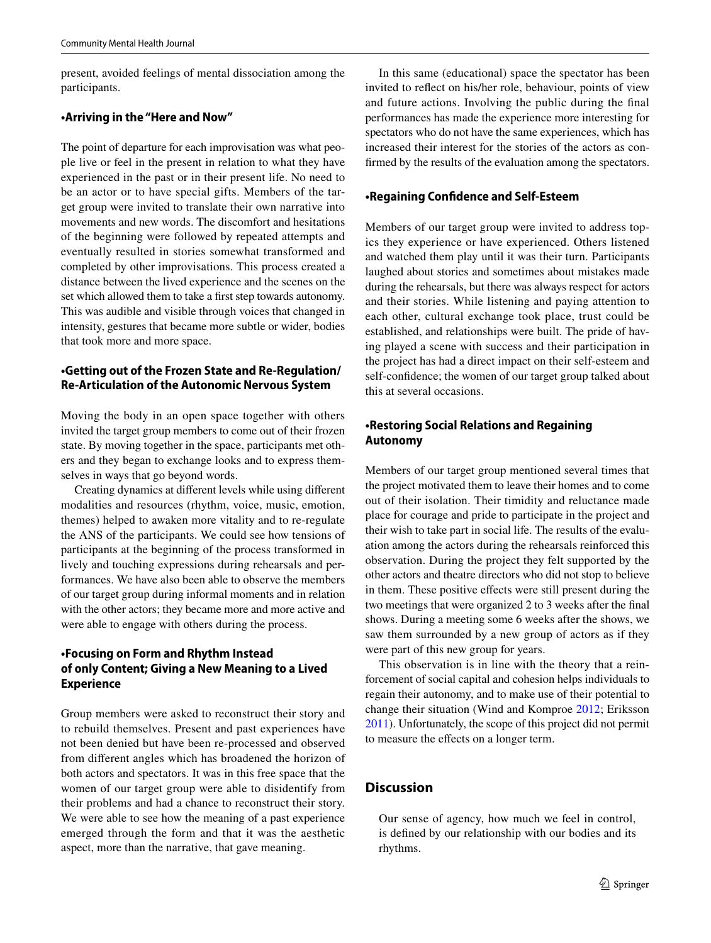present, avoided feelings of mental dissociation among the participants.

#### **•Arriving in the "Here and Now"**

The point of departure for each improvisation was what people live or feel in the present in relation to what they have experienced in the past or in their present life. No need to be an actor or to have special gifts. Members of the target group were invited to translate their own narrative into movements and new words. The discomfort and hesitations of the beginning were followed by repeated attempts and eventually resulted in stories somewhat transformed and completed by other improvisations. This process created a distance between the lived experience and the scenes on the set which allowed them to take a frst step towards autonomy. This was audible and visible through voices that changed in intensity, gestures that became more subtle or wider, bodies that took more and more space.

## **•Getting out of the Frozen State and Re‑Regulation/ Re‑Articulation of the Autonomic Nervous System**

Moving the body in an open space together with others invited the target group members to come out of their frozen state. By moving together in the space, participants met others and they began to exchange looks and to express themselves in ways that go beyond words.

Creating dynamics at diferent levels while using diferent modalities and resources (rhythm, voice, music, emotion, themes) helped to awaken more vitality and to re-regulate the ANS of the participants. We could see how tensions of participants at the beginning of the process transformed in lively and touching expressions during rehearsals and performances. We have also been able to observe the members of our target group during informal moments and in relation with the other actors; they became more and more active and were able to engage with others during the process.

# **•Focusing on Form and Rhythm Instead of only Content; Giving a New Meaning to a Lived Experience**

Group members were asked to reconstruct their story and to rebuild themselves. Present and past experiences have not been denied but have been re-processed and observed from diferent angles which has broadened the horizon of both actors and spectators. It was in this free space that the women of our target group were able to disidentify from their problems and had a chance to reconstruct their story. We were able to see how the meaning of a past experience emerged through the form and that it was the aesthetic aspect, more than the narrative, that gave meaning.

In this same (educational) space the spectator has been invited to refect on his/her role, behaviour, points of view and future actions. Involving the public during the fnal performances has made the experience more interesting for spectators who do not have the same experiences, which has increased their interest for the stories of the actors as confrmed by the results of the evaluation among the spectators.

#### **•Regaining Confdence and Self‑Esteem**

Members of our target group were invited to address topics they experience or have experienced. Others listened and watched them play until it was their turn. Participants laughed about stories and sometimes about mistakes made during the rehearsals, but there was always respect for actors and their stories. While listening and paying attention to each other, cultural exchange took place, trust could be established, and relationships were built. The pride of having played a scene with success and their participation in the project has had a direct impact on their self-esteem and self-confdence; the women of our target group talked about this at several occasions.

## **•Restoring Social Relations and Regaining Autonomy**

Members of our target group mentioned several times that the project motivated them to leave their homes and to come out of their isolation. Their timidity and reluctance made place for courage and pride to participate in the project and their wish to take part in social life. The results of the evaluation among the actors during the rehearsals reinforced this observation. During the project they felt supported by the other actors and theatre directors who did not stop to believe in them. These positive effects were still present during the two meetings that were organized 2 to 3 weeks after the fnal shows. During a meeting some 6 weeks after the shows, we saw them surrounded by a new group of actors as if they were part of this new group for years.

This observation is in line with the theory that a reinforcement of social capital and cohesion helps individuals to regain their autonomy, and to make use of their potential to change their situation (Wind and Komproe [2012](#page-7-9); Eriksson [2011\)](#page-6-13). Unfortunately, the scope of this project did not permit to measure the efects on a longer term.

# **Discussion**

Our sense of agency, how much we feel in control, is defned by our relationship with our bodies and its rhythms.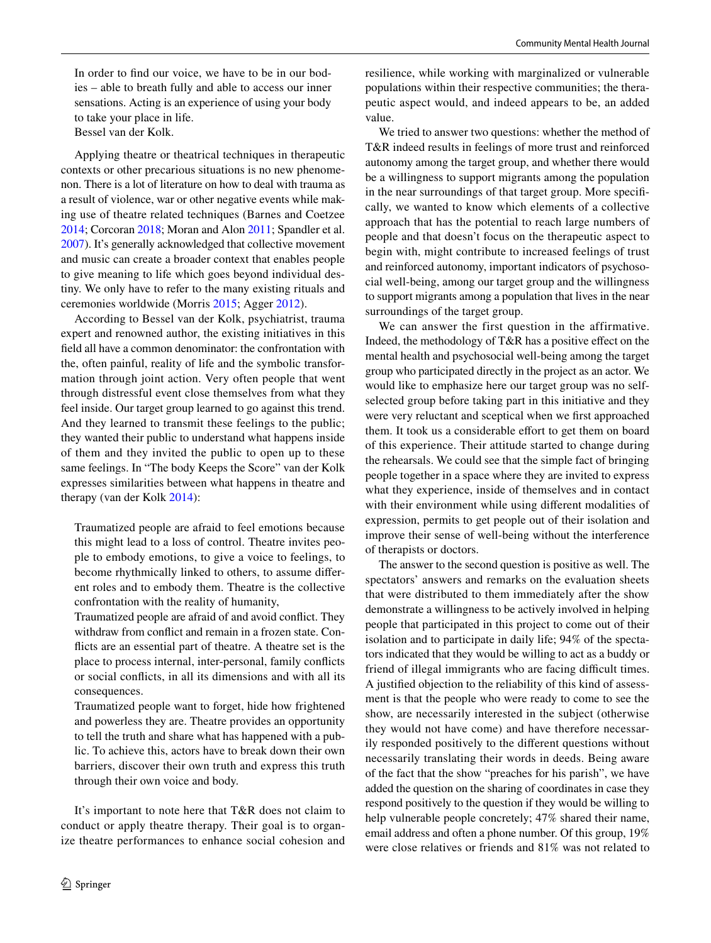In order to fnd our voice, we have to be in our bodies – able to breath fully and able to access our inner sensations. Acting is an experience of using your body to take your place in life.

Bessel van der Kolk.

Applying theatre or theatrical techniques in therapeutic contexts or other precarious situations is no new phenomenon. There is a lot of literature on how to deal with trauma as a result of violence, war or other negative events while making use of theatre related techniques (Barnes and Coetzee [2014;](#page-6-16) Corcoran [2018](#page-6-17); Moran and Alon [2011;](#page-7-14) Spandler et al. [2007\)](#page-7-15). It's generally acknowledged that collective movement and music can create a broader context that enables people to give meaning to life which goes beyond individual destiny. We only have to refer to the many existing rituals and ceremonies worldwide (Morris [2015;](#page-7-16) Agger [2012\)](#page-6-18).

According to Bessel van der Kolk, psychiatrist, trauma expert and renowned author, the existing initiatives in this feld all have a common denominator: the confrontation with the, often painful, reality of life and the symbolic transformation through joint action. Very often people that went through distressful event close themselves from what they feel inside. Our target group learned to go against this trend. And they learned to transmit these feelings to the public; they wanted their public to understand what happens inside of them and they invited the public to open up to these same feelings. In "The body Keeps the Score" van der Kolk expresses similarities between what happens in theatre and therapy (van der Kolk [2014\)](#page-6-19):

Traumatized people are afraid to feel emotions because this might lead to a loss of control. Theatre invites people to embody emotions, to give a voice to feelings, to become rhythmically linked to others, to assume diferent roles and to embody them. Theatre is the collective confrontation with the reality of humanity,

Traumatized people are afraid of and avoid confict. They withdraw from confict and remain in a frozen state. Conficts are an essential part of theatre. A theatre set is the place to process internal, inter-personal, family conficts or social conficts, in all its dimensions and with all its consequences.

Traumatized people want to forget, hide how frightened and powerless they are. Theatre provides an opportunity to tell the truth and share what has happened with a public. To achieve this, actors have to break down their own barriers, discover their own truth and express this truth through their own voice and body.

It's important to note here that T&R does not claim to conduct or apply theatre therapy. Their goal is to organize theatre performances to enhance social cohesion and resilience, while working with marginalized or vulnerable populations within their respective communities; the therapeutic aspect would, and indeed appears to be, an added value.

We tried to answer two questions: whether the method of T&R indeed results in feelings of more trust and reinforced autonomy among the target group, and whether there would be a willingness to support migrants among the population in the near surroundings of that target group. More specifcally, we wanted to know which elements of a collective approach that has the potential to reach large numbers of people and that doesn't focus on the therapeutic aspect to begin with, might contribute to increased feelings of trust and reinforced autonomy, important indicators of psychosocial well-being, among our target group and the willingness to support migrants among a population that lives in the near surroundings of the target group.

We can answer the first question in the affirmative. Indeed, the methodology of T&R has a positive efect on the mental health and psychosocial well-being among the target group who participated directly in the project as an actor. We would like to emphasize here our target group was no selfselected group before taking part in this initiative and they were very reluctant and sceptical when we frst approached them. It took us a considerable effort to get them on board of this experience. Their attitude started to change during the rehearsals. We could see that the simple fact of bringing people together in a space where they are invited to express what they experience, inside of themselves and in contact with their environment while using different modalities of expression, permits to get people out of their isolation and improve their sense of well-being without the interference of therapists or doctors.

The answer to the second question is positive as well. The spectators' answers and remarks on the evaluation sheets that were distributed to them immediately after the show demonstrate a willingness to be actively involved in helping people that participated in this project to come out of their isolation and to participate in daily life; 94% of the spectators indicated that they would be willing to act as a buddy or friend of illegal immigrants who are facing difficult times. A justifed objection to the reliability of this kind of assessment is that the people who were ready to come to see the show, are necessarily interested in the subject (otherwise they would not have come) and have therefore necessarily responded positively to the diferent questions without necessarily translating their words in deeds. Being aware of the fact that the show "preaches for his parish", we have added the question on the sharing of coordinates in case they respond positively to the question if they would be willing to help vulnerable people concretely; 47% shared their name, email address and often a phone number. Of this group, 19% were close relatives or friends and 81% was not related to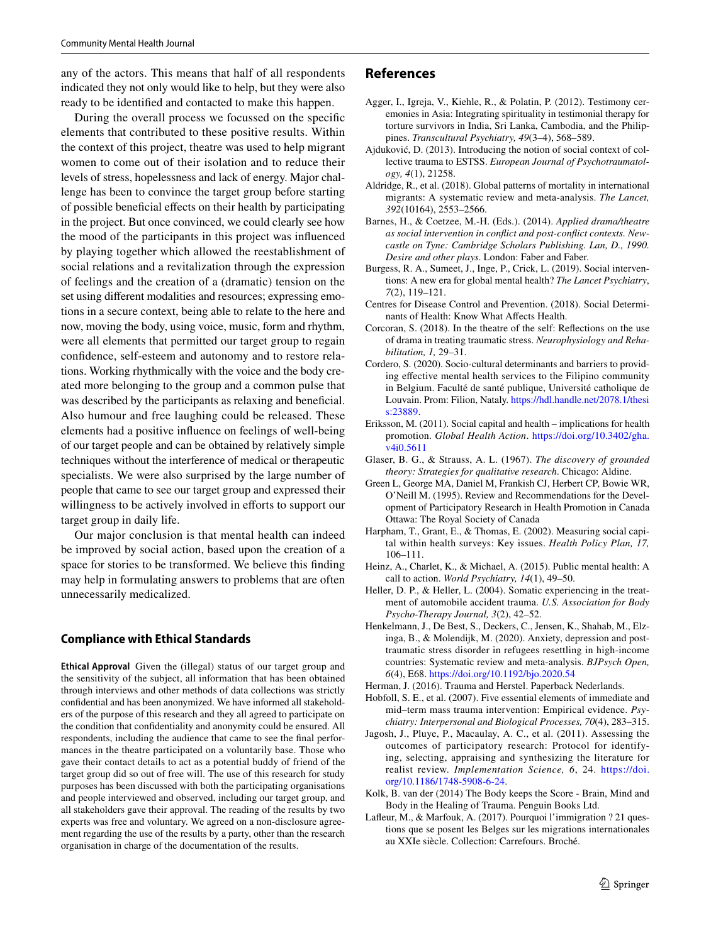any of the actors. This means that half of all respondents indicated they not only would like to help, but they were also ready to be identifed and contacted to make this happen.

During the overall process we focussed on the specifc elements that contributed to these positive results. Within the context of this project, theatre was used to help migrant women to come out of their isolation and to reduce their levels of stress, hopelessness and lack of energy. Major challenge has been to convince the target group before starting of possible benefcial efects on their health by participating in the project. But once convinced, we could clearly see how the mood of the participants in this project was infuenced by playing together which allowed the reestablishment of social relations and a revitalization through the expression of feelings and the creation of a (dramatic) tension on the set using diferent modalities and resources; expressing emotions in a secure context, being able to relate to the here and now, moving the body, using voice, music, form and rhythm, were all elements that permitted our target group to regain confdence, self-esteem and autonomy and to restore relations. Working rhythmically with the voice and the body created more belonging to the group and a common pulse that was described by the participants as relaxing and beneficial. Also humour and free laughing could be released. These elements had a positive infuence on feelings of well-being of our target people and can be obtained by relatively simple techniques without the interference of medical or therapeutic specialists. We were also surprised by the large number of people that came to see our target group and expressed their willingness to be actively involved in efforts to support our target group in daily life.

Our major conclusion is that mental health can indeed be improved by social action, based upon the creation of a space for stories to be transformed. We believe this fnding may help in formulating answers to problems that are often unnecessarily medicalized.

#### **Compliance with Ethical Standards**

**Ethical Approval** Given the (illegal) status of our target group and the sensitivity of the subject, all information that has been obtained through interviews and other methods of data collections was strictly confdential and has been anonymized. We have informed all stakeholders of the purpose of this research and they all agreed to participate on the condition that confdentiality and anonymity could be ensured. All respondents, including the audience that came to see the fnal performances in the theatre participated on a voluntarily base. Those who gave their contact details to act as a potential buddy of friend of the target group did so out of free will. The use of this research for study purposes has been discussed with both the participating organisations and people interviewed and observed, including our target group, and all stakeholders gave their approval. The reading of the results by two experts was free and voluntary. We agreed on a non-disclosure agreement regarding the use of the results by a party, other than the research organisation in charge of the documentation of the results.

#### **References**

- <span id="page-6-18"></span>Agger, I., Igreja, V., Kiehle, R., & Polatin, P. (2012). Testimony ceremonies in Asia: Integrating spirituality in testimonial therapy for torture survivors in India, Sri Lanka, Cambodia, and the Philippines. *Transcultural Psychiatry, 49*(3–4), 568–589.
- <span id="page-6-10"></span>Ajduković, D. (2013). Introducing the notion of social context of collective trauma to ESTSS. *European Journal of Psychotraumatology, 4*(1), 21258.
- <span id="page-6-1"></span>Aldridge, R., et al. (2018). Global patterns of mortality in international migrants: A systematic review and meta-analysis. *The Lancet, 392*(10164), 2553–2566.
- <span id="page-6-16"></span>Barnes, H., & Coetzee, M.-H. (Eds.). (2014). *Applied drama/theatre as social intervention in confict and post-confict contexts. Newcastle on Tyne: Cambridge Scholars Publishing. Lan, D., 1990. Desire and other plays*. London: Faber and Faber.
- <span id="page-6-9"></span>Burgess, R. A., Sumeet, J., Inge, P., Crick, L. (2019). Social interventions: A new era for global mental health? *The Lancet Psychiatry*, *7*(2), 119–121.
- <span id="page-6-7"></span>Centres for Disease Control and Prevention. (2018). Social Determinants of Health: Know What Afects Health.
- <span id="page-6-17"></span>Corcoran, S. (2018). In the theatre of the self: Refections on the use of drama in treating traumatic stress. *Neurophysiology and Rehabilitation, 1,* 29–31.
- <span id="page-6-3"></span>Cordero, S. (2020). Socio-cultural determinants and barriers to providing efective mental health services to the Filipino community in Belgium. Faculté de santé publique, Université catholique de Louvain. Prom: Filion, Nataly. [https://hdl.handle.net/2078.1/thesi](http://hdl.handle.net/2078.1/thesis:23889) [s:23889](http://hdl.handle.net/2078.1/thesis:23889).
- <span id="page-6-13"></span>Eriksson, M. (2011). Social capital and health – implications for health promotion. *Global Health Action*. [https://doi.org/10.3402/gha.](https://doi.org/10.3402/gha.v4i0.5611) [v4i0.5611](https://doi.org/10.3402/gha.v4i0.5611)
- <span id="page-6-6"></span>Glaser, B. G., & Strauss, A. L. (1967). *The discovery of grounded theory: Strategies for qualitative research*. Chicago: Aldine.
- <span id="page-6-4"></span>Green L, George MA, Daniel M, Frankish CJ, Herbert CP, Bowie WR, O'Neill M. (1995). Review and Recommendations for the Development of Participatory Research in Health Promotion in Canada Ottawa: The Royal Society of Canada
- <span id="page-6-12"></span>Harpham, T., Grant, E., & Thomas, E. (2002). Measuring social capital within health surveys: Key issues. *Health Policy Plan, 17,* 106–111.
- <span id="page-6-8"></span>Heinz, A., Charlet, K., & Michael, A. (2015). Public mental health: A call to action. *World Psychiatry, 14*(1), 49–50.
- <span id="page-6-14"></span>Heller, D. P., & Heller, L. (2004). Somatic experiencing in the treatment of automobile accident trauma. *U.S. Association for Body Psycho-Therapy Journal, 3*(2), 42–52.
- <span id="page-6-0"></span>Henkelmann, J., De Best, S., Deckers, C., Jensen, K., Shahab, M., Elzinga, B., & Molendijk, M. (2020). Anxiety, depression and posttraumatic stress disorder in refugees resettling in high-income countries: Systematic review and meta-analysis. *BJPsych Open, 6*(4), E68. <https://doi.org/10.1192/bjo.2020.54>
- <span id="page-6-15"></span>Herman, J. (2016). Trauma and Herstel. Paperback Nederlands.
- <span id="page-6-11"></span>Hobfoll, S. E., et al. (2007). Five essential elements of immediate and mid–term mass trauma intervention: Empirical evidence. *Psychiatry: Interpersonal and Biological Processes, 70*(4), 283–315.
- <span id="page-6-5"></span>Jagosh, J., Pluye, P., Macaulay, A. C., et al. (2011). Assessing the outcomes of participatory research: Protocol for identifying, selecting, appraising and synthesizing the literature for realist review. *Implementation Science, 6*, 24. [https://doi.](https://doi.org/10.1186/1748-5908-6-24) [org/10.1186/1748-5908-6-24](https://doi.org/10.1186/1748-5908-6-24).
- <span id="page-6-19"></span>Kolk, B. van der (2014) The Body keeps the Score - Brain, Mind and Body in the Healing of Trauma. Penguin Books Ltd.
- <span id="page-6-2"></span>Lafeur, M., & Marfouk, A. (2017). Pourquoi l'immigration ? 21 questions que se posent les Belges sur les migrations internationales au XXIe siècle. Collection: Carrefours. Broché.